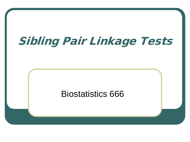# Sibling Pair Linkage Tests

#### Biostatistics 666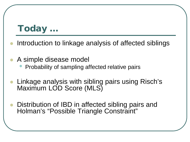### Today …

- Introduction to linkage analysis of affected siblings
- A simple disease model
	- Probability of sampling affected relative pairs
- Linkage analysis with sibling pairs using Risch's Maximum LOD Score (MLS)
- Distribution of IBD in affected sibling pairs and Holman's "Possible Triangle Constraint"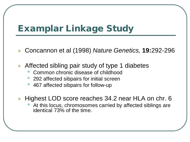## Examplar Linkage Study

- Concannon et al (1998) *Nature Genetics,* **19:**292-296
- Affected sibling pair study of type 1 diabetes
	- Common chronic disease of childhood
	- 292 affected sibpairs for initial screen
	- 467 affected sibpairs for follow-up
- Highest LOD score reaches 34.2 near HLA on chr. 6
	- At this locus, chromosomes carried by affected siblings are identical 73% of the time.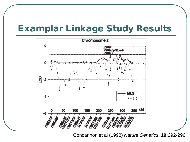### Examplar Linkage Study Results



Concannon et al (1998) *Nature Genetics*, **19:**292-296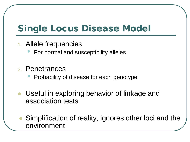## Single Locus Disease Model

- 1. Allele frequencies
	- For normal and susceptibility alleles
- 2. Penetrances
	- Probability of disease for each genotype
- **Useful in exploring behavior of linkage and** association tests
	- Simplification of reality, ignores other loci and the environment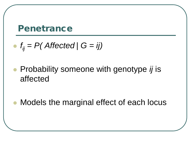#### Penetrance

• 
$$
f_{ij} = P
$$
(Affected |  $G = ij$ )

 Probability someone with genotype *ij* is affected

Models the marginal effect of each locus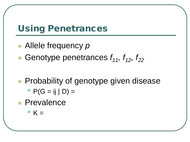### Using Penetrances

- Allele frequency *p*
- Genotype penetrances  $f_{11}$ ,  $f_{12}$ ,  $f_{22}$
- **Probability of genotype given disease** 
	- $P(G = ij | D) =$
- Prevalence
	- $\mathsf{K} =$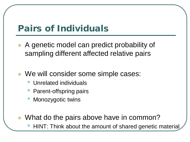### Pairs of Individuals

- A genetic model can predict probability of sampling different affected relative pairs
- We will consider some simple cases:
	- Unrelated individuals
	- Parent-offspring pairs
	- Monozygotic twins
	- What do the pairs above have in common?
		- HINT: Think about the amount of shared genetic material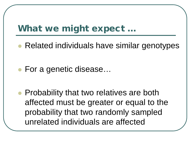### What we might expect …

Related individuals have similar genotypes

● For a genetic disease...

• Probability that two relatives are both affected must be greater or equal to the probability that two randomly sampled unrelated individuals are affected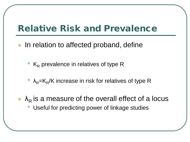### Relative Risk and Prevalence

- In relation to affected proband, define
	- $\bullet$  K<sub>R</sub> prevalence in relatives of type R
	- $\lambda_{\rm R}$ =K<sub>R</sub>/K increase in risk for relatives of type R
- $\lambda_R$  is a measure of the overall effect of a locus Useful for predicting power of linkage studies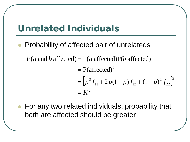### Unrelated Individuals

- Probability of affected pair of unrelateds
	- $P(a \text{ and } b \text{ affected}) = P(a \text{ affected})P(b \text{ affected})$

$$
= P(affected)^{2}
$$
  
=  $[p^{2} f_{11} + 2p(1-p) f_{12} + (1-p)^{2} f_{22}]^{2}$   
=  $K^{2}$ 

**• For any two related individuals, probability that** both are affected should be greater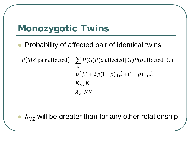### Monozygotic Twins

- Probability of affected pair of identical twins
	- $P(MZ \text{ pair affected}) = \sum P(G)P(a \text{ affected} | G)P(b \text{ affected} | G)$  $= \lambda_{MZ} KK$  $K_{\substack{MZ}}$  $= p^2 f_{11}^2 + 2p(1-p)f_{12}^2 + (1-p)^2 f_{22}^2$ *G* 22  $^{2}$   $(1 - n)^{2}$ 12 2  $^{2}f_{11}^{2}+2p(1-p)f_{12}^{2}+(1-p)$

 $\lambda_{\rm MZ}$  will be greater than for any other relationship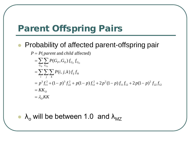## Parent Offspring Pairs

#### **• Probability of affected parent-offspring pair**

$$
P = P(\text{parent and child affected})
$$
  
=  $\sum_{G_P} \sum_{G_O} P(G_P, G_O) f_{G_P} f_{G_O}$   
=  $\sum_{i} \sum_{j} \sum_{k} P(i, j, k) f_{ij} f_{ik}$   
=  $p^3 f_{11}^2 + (1-p)^3 f_{22}^2 + p(1-p) f_{12}^2 + 2p^2 (1-p) f_{11} f_{12} + 2p(1-p)^2 f_{22} f_{12}$   
=  $KK_O$   
=  $\lambda_O KK$ 

•  $\lambda_0$  will be between 1.0 and  $\lambda_{\text{MZ}}$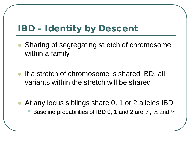## IBD – Identity by Descent

- Sharing of segregating stretch of chromosome within a family
- If a stretch of chromosome is shared IBD, all variants within the stretch will be shared
- At any locus siblings share 0, 1 or 2 alleles IBD
	- Baseline probabilities of IBD 0, 1 and 2 are ¼, ½ and ¼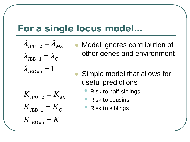#### For a single locus model…

$$
\lambda_{IBD=2} = \lambda_{MZ}
$$

$$
\lambda_{IBD=1} = \lambda_O
$$

$$
\lambda_{IBD=0} = 1
$$

- Model ignores contribution of other genes and environment
- Simple model that allows for useful predictions
	- Risk to half-siblings
	- Risk to cousins
	- Risk to siblings

 $K$ <sub>*IBD*=0</sub> =  $K$  $K_{IBD=1} = K_{O}$  $K$ <sub>*IBD=2</sub>* =  $K$ <sub>*MZ*</sub></sub>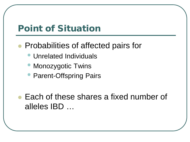### Point of Situation

- **Probabilities of affected pairs for** 
	- Unrelated Individuals
	- Monozygotic Twins
	- Parent-Offspring Pairs
- Each of these shares a fixed number of alleles IBD …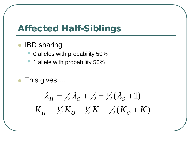### Affected Half-Siblings

- IBD sharing
	- 0 alleles with probability 50%
	- 1 allele with probability 50%
- This gives …

$$
\lambda_H = \frac{1}{2}\lambda_0 + \frac{1}{2} = \frac{1}{2}(\lambda_0 + 1)
$$
  

$$
K_H = \frac{1}{2}K_0 + \frac{1}{2}K = \frac{1}{2}(K_0 + K)
$$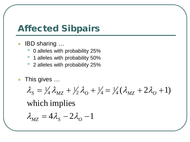### Affected Sibpairs

- IBD sharing …
	- 0 alleles with probability 25%
	- 1 alleles with probability 50%
	- 2 alleles with probability 25%
- This gives …

$$
\lambda_{S} = \frac{1}{4} \lambda_{MZ} + \frac{1}{2} \lambda_{O} + \frac{1}{4} = \frac{1}{4} (\lambda_{MZ} + 2 \lambda_{O} + 1)
$$

which implies

$$
\lambda_{MZ} = 4\lambda_S - 2\lambda_O - 1
$$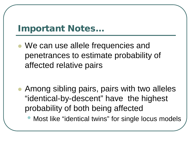### Important Notes…

- We can use allele frequencies and penetrances to estimate probability of affected relative pairs
- Among sibling pairs, pairs with two alleles "identical-by-descent" have the highest probability of both being affected
	- Most like "identical twins" for single locus models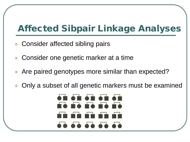### Affected Sibpair Linkage Analyses

- Consider affected sibling pairs
- Consider one genetic marker at a time
- Are paired genotypes more similar than expected?
- Only a subset of all genetic markers must be examined

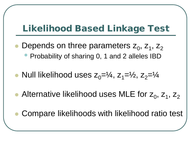### Likelihood Based Linkage Test

- Depends on three parameters  $z_0$ ,  $z_1$ ,  $z_2$ • Probability of sharing 0, 1 and 2 alleles IBD
- Null likelihood uses  $z_0=1/4$ ,  $z_1=1/2$ ,  $z_2=1/4$
- Alternative likelihood uses MLE for  $z_0$ ,  $z_1$ ,  $z_2$ 
	- Compare likelihoods with likelihood ratio test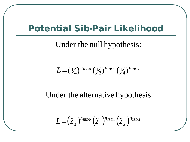### Potential Sib-Pair Likelihood

Under the null hypothesis:

$$
L = (\frac{1}{4})^{n_{IBD0}} (\frac{1}{2})^{n_{IBD1}} (\frac{1}{4})^{n_{IBD2}}
$$

Under the alternative hypothesis

$$
L = (\hat{z}_0)^{n_{IBD0}} (\hat{z}_1)^{n_{IBD1}} (\hat{z}_2)^{n_{IBD2}}
$$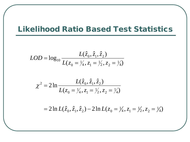#### Likelihood Ratio Based Test Statistics

$$
LOD = \log_{10} \frac{L(\hat{z}_0, \hat{z}_1, \hat{z}_2)}{L(z_0 = \frac{1}{4}, z_1 = \frac{1}{2}, z_2 = \frac{1}{4})}
$$

$$
\chi^2 = 2\ln \frac{L(\hat{z}_0, \hat{z}_1, \hat{z}_2)}{L(z_0 = \frac{1}{4}, z_1 = \frac{1}{2}, z_2 = \frac{1}{4})}
$$

 $2\ln L(\hat{z}_0, \hat{z}_1, \hat{z}_2) - 2\ln L(z_0 = \frac{1}{4}, z_1 = \frac{1}{2}, z_2 = \frac{1}{4})$ 1  $2, 4, 2$ 1 4,  $\zeta_1$ 1  $= 2 \ln L(\hat{z}_0, \hat{z}_1, \hat{z}_2) - 2 \ln L(z_0 = \frac{1}{4}, z_1 = \frac{1}{2}, z_2 = \frac{1}{4}$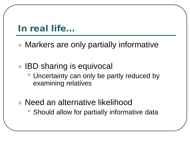#### In real life…

Markers are only partially informative

### • IBD sharing is equivocal

- Uncertainty can only be partly reduced by examining relatives
- Need an alternative likelihood
	- Should allow for partially informative data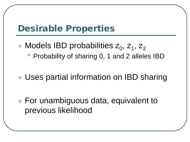### Desirable Properties

- Models IBD probabilities  $z_0$ ,  $z_1$ ,  $z_2$ 
	- Probability of sharing 0, 1 and 2 alleles IBD
- Uses partial information on IBD sharing

 For unambiguous data, equivalent to previous likelihood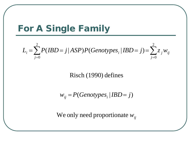### For A Single Family

$$
L_i = \sum_{j=0}^{2} P(IBD = j | ASP) P(Genotypes_i | IBD = j) = \sum_{j=0}^{2} z_j w_{ij}
$$

#### Risch (1990) defines

$$
w_{ij} = P(Genotypes_i | IBD = j)
$$

We only need proportionate  $w_{ij}$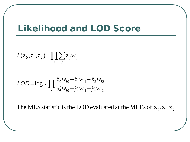#### Likelihood and LOD Score

$$
L(z_0, z_1, z_2) = \prod_i \sum_j z_j w_{ij}
$$

$$
LOD = \log_{10} \prod_{i} \frac{\hat{z}_0 w_{i0} + \hat{z}_1 w_{i1} + \hat{z}_2 w_{i2}}{\frac{1}{4} w_{i0} + \frac{1}{2} w_{i1} + \frac{1}{4} w_{i2}}
$$

The MLS statistic is the LOD evaluated at the MLEs of  $z_0, z_1, z_2$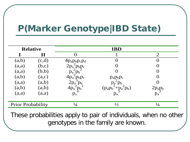## P(Marker Genotype|IBD State)

| <b>Relative</b>          |             | <b>IBD</b>                                           |                                          |                                 |  |  |
|--------------------------|-------------|------------------------------------------------------|------------------------------------------|---------------------------------|--|--|
|                          | $\mathbf H$ |                                                      |                                          | $\overline{2}$                  |  |  |
| (a,b)                    | (c,d)       |                                                      |                                          |                                 |  |  |
| (a,a)                    | (b,c)       | $4p_a p_b p_c p_d$<br>$2p_a^2 p_b p_c$<br>$n^2p_a^2$ |                                          | $\Omega$                        |  |  |
| (a,a)                    | (b,b)       | $p_a$ $p_b$                                          |                                          | $\Omega$                        |  |  |
| (a,b)                    | (a,c)       |                                                      | $p_a p_b p_c$                            |                                 |  |  |
| (a,a)                    | (a,b)       | $\frac{4p_a^2p_bp_c}{2p_a^3p_b}$                     | $p_a$ <sup><math>\sim</math></sup> $p_b$ |                                 |  |  |
| (a,b)                    | (a,b)       | $4p_a$ <sup><math>\sim</math></sup> $p_b$            | $(p_a p_b^2 + p_a^2 p_b)$                |                                 |  |  |
| (a,a)                    | (a,a)       | $p_a$                                                |                                          | $2p_ap_b$<br>$p_a$ <sup>2</sup> |  |  |
| <b>Prior Probability</b> |             | $\frac{1}{4}$                                        | $\frac{1}{2}$                            | $\frac{1}{4}$                   |  |  |

These probabilities apply to pair of individuals, when no other genotypes in the family are known.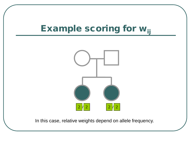## Example scoring for w<sub>ij</sub>



In this case, relative weights depend on allele frequency.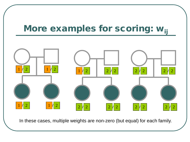### More examples for scoring: w<sub>ij</sub>



In these cases, multiple weights are non-zero (but equal) for each family.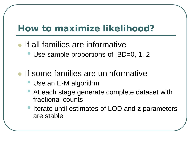### How to maximize likelihood?

- If all families are informative
	- Use sample proportions of IBD=0, 1, 2
- If some families are uninformative
	- Use an E-M algorithm
	- At each stage generate complete dataset with fractional counts
	- Iterate until estimates of LOD and z parameters are stable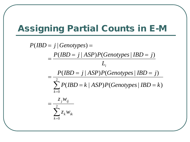### Assigning Partial Counts in E-M

$$
P(BD = j | Genotypes) =
$$
\n
$$
= \frac{P(BD = j | ASP)P(Genotypes | IBD = j)}{L_i}
$$
\n
$$
= \frac{P(BD = j | ASP)P(Genotypes | IBD = j)}{\sum_{k=0}^{2} P(BD = k |ASP)P(Genotypes | IBD = k)}
$$
\n
$$
= \frac{z_j w_{ij}}{\sum_{k=0}^{2} z_k w_{ik}}
$$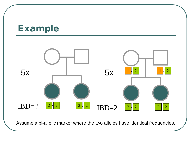#### Example



Assume a bi-allelic marker where the two alleles have identical frequencies.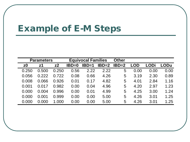#### Example of E-M Steps

| <b>Parameters</b> |                |                | <b>Equivocal Families</b> |              |         | <b>Other</b> |            |      |      |
|-------------------|----------------|----------------|---------------------------|--------------|---------|--------------|------------|------|------|
| z0                | z <sub>1</sub> | z <sub>2</sub> | $IBD=0$                   | <b>IBD=1</b> | $IBD=2$ | $IBD=2$      | <b>LOD</b> | LODi | LODu |
| 0.250             | 0.500          | 0.250          | 0.56                      | 2.22         | 2.22    | 5            | 0.00       | 0.00 | 0.00 |
| 0.056             | 0.222          | 0.722          | 0.08                      | 0.66         | 4.26    | 5            | 3.19       | 2.30 | 0.89 |
| 0.008             | 0.066          | 0.926          | 0.01                      | 0.17         | 4.82    | 5            | 4.01       | 2.84 | 1.16 |
| 0.001             | 0.017          | 0.982          | 0.00                      | 0.04         | 4.96    | 5            | 4.20       | 2.97 | 1.23 |
| 0.000             | 0.004          | 0.996          | 0.00                      | 0.01         | 4.99    | 5            | 4.25       | 3.00 | 1.24 |
| 0.000             | 0.001          | 0.999          | 0.00                      | 0.00         | 5.00    | 5            | 4.26       | 3.01 | 1.25 |
| 0.000             | 0.000          | 1.000          | 0.00                      | 0.00         | 5.00    | 5            | 4.26       | 3.01 | 1.25 |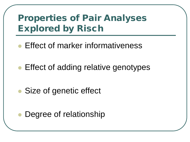### Properties of Pair Analyses Explored by Risch

- Effect of marker informativeness
- Effect of adding relative genotypes
- Size of genetic effect
	- Degree of relationship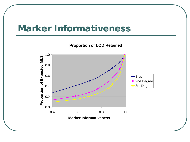#### Marker Informativeness

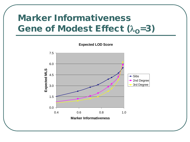## Marker Informativeness Gene of Modest Effect  $(\lambda_0=3)$

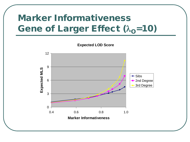### Marker Informativeness Gene of Larger Effect  $(\lambda_0=10)$

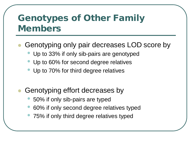### Genotypes of Other Family Members

#### Genotyping only pair decreases LOD score by

- Up to 33% if only sib-pairs are genotyped
- Up to 60% for second degree relatives
- Up to 70% for third degree relatives
- Genotyping effort decreases by
	- 50% if only sib-pairs are typed
	- 60% if only second degree relatives typed
	- 75% if only third degree relatives typed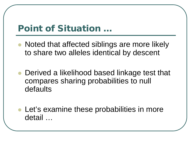### Point of Situation …

- Noted that affected siblings are more likely to share two alleles identical by descent
- Derived a likelihood based linkage test that compares sharing probabilities to null defaults
- Let's examine these probabilities in more detail …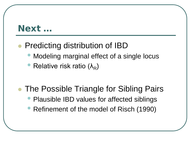### Next …

#### Predicting distribution of IBD

- Modeling marginal effect of a single locus
- Relative risk ratio  $(\lambda_R)$
- The Possible Triangle for Sibling Pairs
	- Plausible IBD values for affected siblings
	- Refinement of the model of Risch (1990)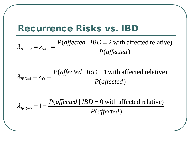#### Recurrence Risks vs. IBD

 $(affected)$ (*affected* |  $IBD = 2$  with affected relative)  $P(affected$ *P affected IBD*  $IBD=2$   $\sim$   $MZ$ =  $_{=2}$  =  $\lambda_{MZ}$  =  $\lambda_{\rm nno}$   $\alpha = \lambda_{\rm n}$ 

 $(affected)$ (*affected* |  $IBD = 1$  with affected relative)  $P(affected$ *P affected IBD*  $IBD=1 - \nu_O$ =  $_{=1} = \lambda_{O} =$  $\lambda_{\rm nno}$  ,  $=\lambda$ 

( ) *P affected*  $_0 = 1 = \frac{P(affected | IBD = 0 with affected relative)}{P(ef\acute{e}t\acute{e}t\acute{e}t\acute{e}t\acute{e}t\acute{e}t\acute{e}t\acute{e}t\acute{e}t\acute{e}t\acute{e}t\acute{e}t\acute{e}t\acute{e}t\acute{e}t\acute{e}t\acute{e}t\acute{e}t\acute{e}t\acute{e}t\acute{e}t\acute{e}t\acute{e}t\acute{e}t\acute{e}t\acute{e}t\acute{e}t\acute{e}t\acute{e}t\acute{e}t\acute{e}t\acute{e}t\acute$ *P affected IBD IBD* =  $_{=0}$  = 1 =  $\lambda$  ,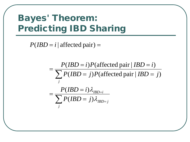### Bayes' Theorem: Predicting IBD Sharing

 $P(IBD = i | \text{ affected pair}) =$ 

 $\sum P(IBD = j)\lambda_{IBD}$  $\sum P(BD = j)P(\text{affected pair} | IBD =$ = = = =  $= i)P(\text{affected pair} | IBD =$ = *j IBD j IBD i j*  $P(IBD = j)$  $P(IBD = i)$  $P(IBD = j)P($  affected pair  $| IBD = j$  $P(IBD = i)P($  affected pair  $| IBD = i$  $\lambda$  ,  $\lambda$  ,  $(BD = j)$  $(BD = i)$  $(IBD = j)P(\text{affected pair} | IBD = j)$  $(IBD = i)P(\text{affected pair} | IBD = i)$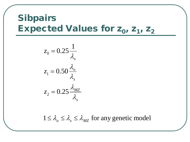### Sibpairs Expected Values for  $z_0$ ,  $z_1$ ,  $z_2$

$$
z_0 = 0.25 \frac{1}{\lambda_s}
$$

$$
z_1 = 0.50 \frac{\lambda_o}{\lambda_s}
$$

$$
z_2 = 0.25 \frac{\lambda_{MZ}}{\lambda_s}
$$

 $1 \leq \lambda_o \leq \lambda_s \leq \lambda_{MZ}$  for any genetic model  $\leq \lambda_{0} \leq \lambda_{s} \leq \lambda_{\Lambda}$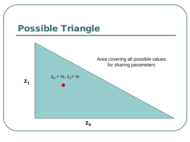#### Possible Triangle

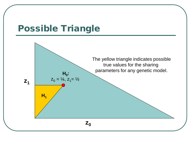### Possible Triangle

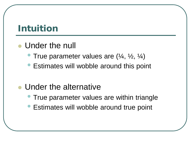### Intuition

### Under the null

- **True parameter values are**  $(\frac{1}{4}, \frac{1}{2}, \frac{1}{4})$
- Estimates will wobble around this point

#### Under the alternative

- True parameter values are within triangle
- Estimates will wobble around true point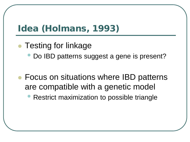### Idea (Holmans, 1993)

- Testing for linkage
	- Do IBD patterns suggest a gene is present?
- Focus on situations where IBD patterns are compatible with a genetic model
	- Restrict maximization to possible triangle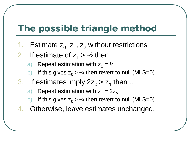### The possible triangle method

- 1. Estimate  $z_0$ ,  $z_1$ ,  $z_2$  without restrictions
- 2. If estimate of  $z_1 > \frac{1}{2}$  then ...
	- a) Repeat estimation with  $z_1 = \frac{1}{2}$
	- b) If this gives  $z_0 > \frac{1}{4}$  then revert to null (MLS=0)
- 3. If estimates imply  $2z_0 > z_1$  then ...
	- a) Repeat estimation with  $z_1 = 2z_0$
	- If this gives  $z_0 > \frac{1}{4}$  then revert to null (MLS=0)
- 4. Otherwise, leave estimates unchanged.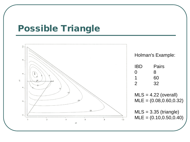#### Possible Triangle

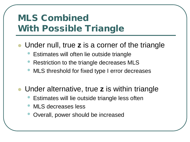## MLS Combined With Possible Triangle

- Under null, true **z** is a corner of the triangle
	- Estimates will often lie outside triangle
	- Restriction to the triangle decreases MLS
	- MLS threshold for fixed type I error decreases
- Under alternative, true **z** is within triangle
	- Estimates will lie outside triangle less often
	- MLS decreases less
	- Overall, power should be increased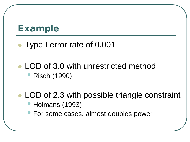#### Example

#### Type I error rate of 0.001

#### • LOD of 3.0 with unrestricted method • Risch (1990)

#### • LOD of 2.3 with possible triangle constraint • Holmans (1993)

• For some cases, almost doubles power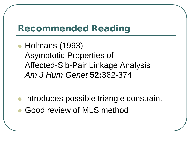### Recommended Reading

• Holmans (1993) Asymptotic Properties of Affected-Sib-Pair Linkage Analysis *Am J Hum Genet* **52:**362-374

**Introduces possible triangle constraint** Good review of MLS method